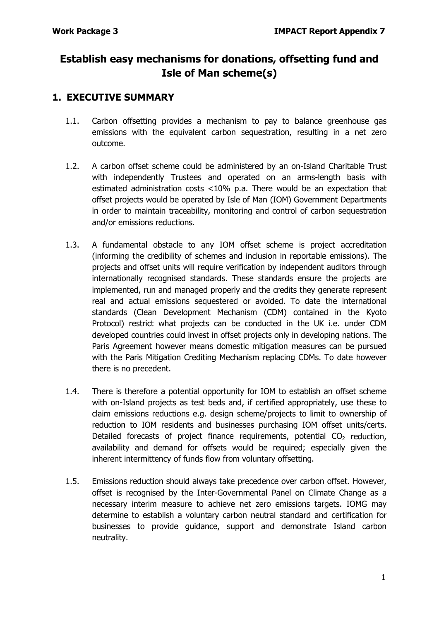# **Establish easy mechanisms for donations, offsetting fund and Isle of Man scheme(s)**

## **1. EXECUTIVE SUMMARY**

- 1.1. Carbon offsetting provides a mechanism to pay to balance greenhouse gas emissions with the equivalent carbon sequestration, resulting in a net zero outcome.
- 1.2. A carbon offset scheme could be administered by an on-Island Charitable Trust with independently Trustees and operated on an arms-length basis with estimated administration costs <10% p.a. There would be an expectation that offset projects would be operated by Isle of Man (IOM) Government Departments in order to maintain traceability, monitoring and control of carbon sequestration and/or emissions reductions.
- 1.3. A fundamental obstacle to any IOM offset scheme is project accreditation (informing the credibility of schemes and inclusion in reportable emissions). The projects and offset units will require verification by independent auditors through internationally recognised standards. These standards ensure the projects are implemented, run and managed properly and the credits they generate represent real and actual emissions sequestered or avoided. To date the international standards (Clean Development Mechanism (CDM) contained in the Kyoto Protocol) restrict what projects can be conducted in the UK i.e. under CDM developed countries could invest in offset projects only in developing nations. The Paris Agreement however means domestic mitigation measures can be pursued with the Paris Mitigation Crediting Mechanism replacing CDMs. To date however there is no precedent.
- 1.4. There is therefore a potential opportunity for IOM to establish an offset scheme with on-Island projects as test beds and, if certified appropriately, use these to claim emissions reductions e.g. design scheme/projects to limit to ownership of reduction to IOM residents and businesses purchasing IOM offset units/certs. Detailed forecasts of project finance requirements, potential  $CO<sub>2</sub>$  reduction, availability and demand for offsets would be required; especially given the inherent intermittency of funds flow from voluntary offsetting.
- 1.5. Emissions reduction should always take precedence over carbon offset. However, offset is recognised by the Inter-Governmental Panel on Climate Change as a necessary interim measure to achieve net zero emissions targets. IOMG may determine to establish a voluntary carbon neutral standard and certification for businesses to provide guidance, support and demonstrate Island carbon neutrality.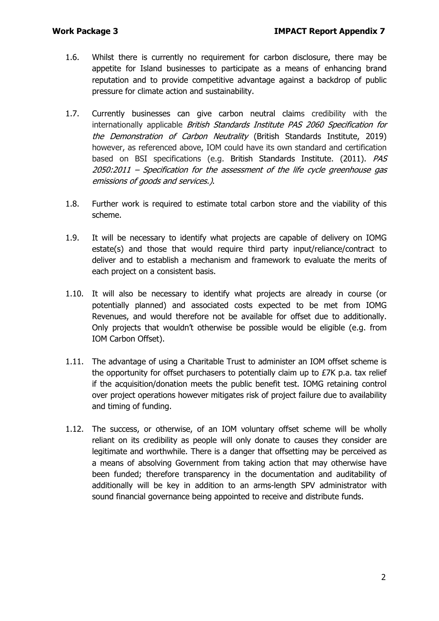- 1.6. Whilst there is currently no requirement for carbon disclosure, there may be appetite for Island businesses to participate as a means of enhancing brand reputation and to provide competitive advantage against a backdrop of public pressure for climate action and sustainability.
- 1.7. Currently businesses can give carbon neutral claims credibility with the internationally applicable British Standards Institute PAS 2060 Specification for the Demonstration of Carbon Neutrality (British Standards Institute, 2019) however, as referenced above, IOM could have its own standard and certification based on BSI specifications (e.g. British Standards Institute. (2011). PAS 2050:2011 – Specification for the assessment of the life cycle greenhouse gas emissions of goods and services.).
- 1.8. Further work is required to estimate total carbon store and the viability of this scheme.
- 1.9. It will be necessary to identify what projects are capable of delivery on IOMG estate(s) and those that would require third party input/reliance/contract to deliver and to establish a mechanism and framework to evaluate the merits of each project on a consistent basis.
- 1.10. It will also be necessary to identify what projects are already in course (or potentially planned) and associated costs expected to be met from IOMG Revenues, and would therefore not be available for offset due to additionally. Only projects that wouldn't otherwise be possible would be eligible (e.g. from IOM Carbon Offset).
- 1.11. The advantage of using a Charitable Trust to administer an IOM offset scheme is the opportunity for offset purchasers to potentially claim up to  $E7K$  p.a. tax relief if the acquisition/donation meets the public benefit test. IOMG retaining control over project operations however mitigates risk of project failure due to availability and timing of funding.
- 1.12. The success, or otherwise, of an IOM voluntary offset scheme will be wholly reliant on its credibility as people will only donate to causes they consider are legitimate and worthwhile. There is a danger that offsetting may be perceived as a means of absolving Government from taking action that may otherwise have been funded; therefore transparency in the documentation and auditability of additionally will be key in addition to an arms-length SPV administrator with sound financial governance being appointed to receive and distribute funds.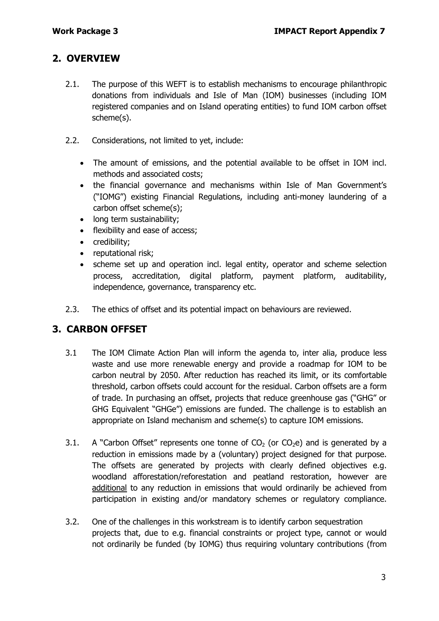## **2. OVERVIEW**

- 2.1. The purpose of this WEFT is to establish mechanisms to encourage philanthropic donations from individuals and Isle of Man (IOM) businesses (including IOM registered companies and on Island operating entities) to fund IOM carbon offset scheme(s).
- 2.2. Considerations, not limited to yet, include:
	- The amount of emissions, and the potential available to be offset in IOM incl. methods and associated costs;
	- the financial governance and mechanisms within Isle of Man Government's ("IOMG") existing Financial Regulations, including anti-money laundering of a carbon offset scheme(s);
	- long term sustainability;
	- flexibility and ease of access;
	- credibility;
	- reputational risk;
	- scheme set up and operation incl. legal entity, operator and scheme selection process, accreditation, digital platform, payment platform, auditability, independence, governance, transparency etc.
- 2.3. The ethics of offset and its potential impact on behaviours are reviewed.

## **3. CARBON OFFSET**

- 3.1 The IOM Climate Action Plan will inform the agenda to, inter alia, produce less waste and use more renewable energy and provide a roadmap for IOM to be carbon neutral by 2050. After reduction has reached its limit, or its comfortable threshold, carbon offsets could account for the residual. Carbon offsets are a form of trade. In purchasing an offset, projects that reduce greenhouse gas ("GHG" or GHG Equivalent "GHGe") emissions are funded. The challenge is to establish an appropriate on Island mechanism and scheme(s) to capture IOM emissions.
- 3.1. A "Carbon Offset" represents one tonne of  $CO<sub>2</sub>$  (or  $CO<sub>2</sub>e$ ) and is generated by a reduction in emissions made by a (voluntary) project designed for that purpose. The offsets are generated by projects with clearly defined objectives e.g. woodland afforestation/reforestation and peatland restoration, however are additional to any reduction in emissions that would ordinarily be achieved from participation in existing and/or mandatory schemes or regulatory compliance.
- 3.2. One of the challenges in this workstream is to identify carbon sequestration projects that, due to e.g. financial constraints or project type, cannot or would not ordinarily be funded (by IOMG) thus requiring voluntary contributions (from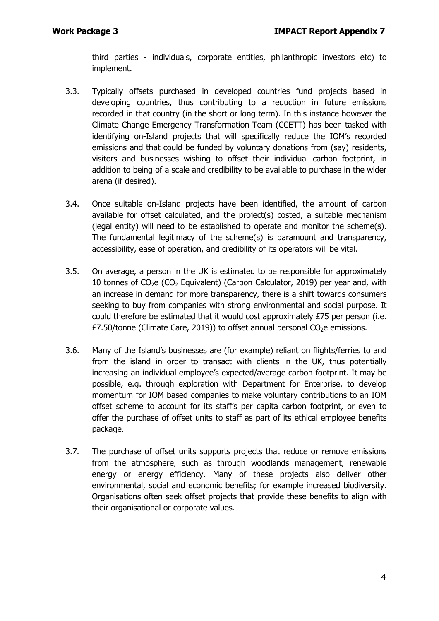third parties - individuals, corporate entities, philanthropic investors etc) to implement.

- 3.3. Typically offsets purchased in developed countries fund projects based in developing countries, thus contributing to a reduction in future emissions recorded in that country (in the short or long term). In this instance however the Climate Change Emergency Transformation Team (CCETT) has been tasked with identifying on-Island projects that will specifically reduce the IOM's recorded emissions and that could be funded by voluntary donations from (say) residents, visitors and businesses wishing to offset their individual carbon footprint, in addition to being of a scale and credibility to be available to purchase in the wider arena (if desired).
- 3.4. Once suitable on-Island projects have been identified, the amount of carbon available for offset calculated, and the project(s) costed, a suitable mechanism (legal entity) will need to be established to operate and monitor the scheme(s). The fundamental legitimacy of the scheme(s) is paramount and transparency, accessibility, ease of operation, and credibility of its operators will be vital.
- 3.5. On average, a person in the UK is estimated to be responsible for approximately 10 tonnes of  $CO<sub>2</sub>e$  (CO<sub>2</sub> Equivalent) (Carbon Calculator, 2019) per year and, with an increase in demand for more transparency, there is a shift towards consumers seeking to buy from companies with strong environmental and social purpose. It could therefore be estimated that it would cost approximately  $E<sub>75</sub>$  per person (i.e. £7.50/tonne (Climate Care, 2019)) to offset annual personal  $CO<sub>2</sub>e$  emissions.
- 3.6. Many of the Island's businesses are (for example) reliant on flights/ferries to and from the island in order to transact with clients in the UK, thus potentially increasing an individual employee's expected/average carbon footprint. It may be possible, e.g. through exploration with Department for Enterprise, to develop momentum for IOM based companies to make voluntary contributions to an IOM offset scheme to account for its staff's per capita carbon footprint, or even to offer the purchase of offset units to staff as part of its ethical employee benefits package.
- 3.7. The purchase of offset units supports projects that reduce or remove emissions from the atmosphere, such as through woodlands management, renewable energy or energy efficiency. Many of these projects also deliver other environmental, social and economic benefits; for example increased biodiversity. Organisations often seek offset projects that provide these benefits to align with their organisational or corporate values.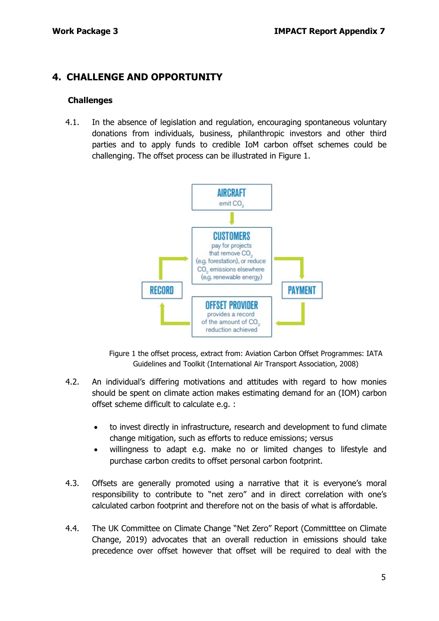## **4. CHALLENGE AND OPPORTUNITY**

#### **Challenges**

4.1. In the absence of legislation and regulation, encouraging spontaneous voluntary donations from individuals, business, philanthropic investors and other third parties and to apply funds to credible IoM carbon offset schemes could be challenging. The offset process can be illustrated in Figure 1.



Figure 1 the offset process, extract from: Aviation Carbon Offset Programmes: IATA Guidelines and Toolkit (International Air Transport Association, 2008)

- 4.2. An individual's differing motivations and attitudes with regard to how monies should be spent on climate action makes estimating demand for an (IOM) carbon offset scheme difficult to calculate e.g. :
	- to invest directly in infrastructure, research and development to fund climate change mitigation, such as efforts to reduce emissions; versus
	- willingness to adapt e.g. make no or limited changes to lifestyle and purchase carbon credits to offset personal carbon footprint.
- 4.3. Offsets are generally promoted using a narrative that it is everyone's moral responsibility to contribute to "net zero" and in direct correlation with one's calculated carbon footprint and therefore not on the basis of what is affordable.
- 4.4. The UK Committee on Climate Change "Net Zero" Report (Committtee on Climate Change, 2019) advocates that an overall reduction in emissions should take precedence over offset however that offset will be required to deal with the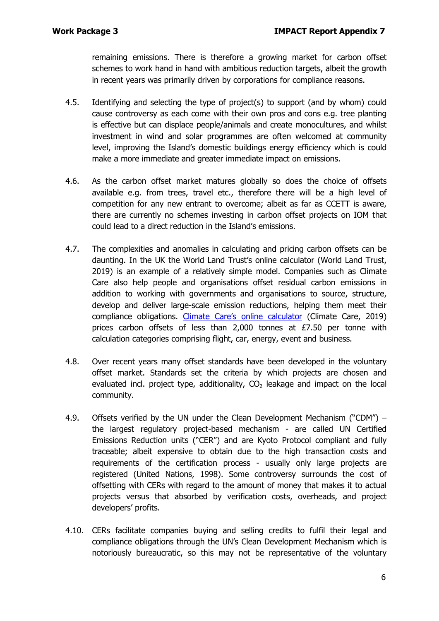remaining emissions. There is therefore a growing market for carbon offset schemes to work hand in hand with ambitious reduction targets, albeit the growth in recent years was primarily driven by corporations for compliance reasons.

- 4.5. Identifying and selecting the type of project(s) to support (and by whom) could cause controversy as each come with their own pros and cons e.g. tree planting is effective but can displace people/animals and create monocultures, and whilst investment in wind and solar programmes are often welcomed at community level, improving the Island's domestic buildings energy efficiency which is could make a more immediate and greater immediate impact on emissions.
- 4.6. As the carbon offset market matures globally so does the choice of offsets available e.g. from trees, travel etc., therefore there will be a high level of competition for any new entrant to overcome; albeit as far as CCETT is aware, there are currently no schemes investing in carbon offset projects on IOM that could lead to a direct reduction in the Island's emissions.
- 4.7. The complexities and anomalies in calculating and pricing carbon offsets can be daunting. In the UK the World Land Trust's online calculator (World Land Trust, 2019) is an example of a relatively simple model. Companies such as Climate Care also help people and organisations offset residual carbon emissions in addition to working with governments and organisations to source, structure, develop and deliver large-scale emission reductions, helping them meet their compliance obligations. [Climate Care's online calculator](https://climatecare.org/calculator/) (Climate Care, 2019) prices carbon offsets of less than 2,000 tonnes at £7.50 per tonne with calculation categories comprising flight, car, energy, event and business.
- 4.8. Over recent years many offset standards have been developed in the voluntary offset market. Standards set the criteria by which projects are chosen and evaluated incl. project type, additionality,  $CO<sub>2</sub>$  leakage and impact on the local community.
- 4.9. Offsets verified by the UN under the Clean Development Mechanism ("CDM") the largest regulatory project-based mechanism - are called UN Certified Emissions Reduction units ("CER") and are Kyoto Protocol compliant and fully traceable; albeit expensive to obtain due to the high transaction costs and requirements of the certification process - usually only large projects are registered (United Nations, 1998). Some controversy surrounds the cost of offsetting with CERs with regard to the amount of money that makes it to actual projects versus that absorbed by verification costs, overheads, and project developers' profits.
- 4.10. CERs facilitate companies buying and selling credits to fulfil their legal and compliance obligations through the UN's Clean Development Mechanism which is notoriously bureaucratic, so this may not be representative of the voluntary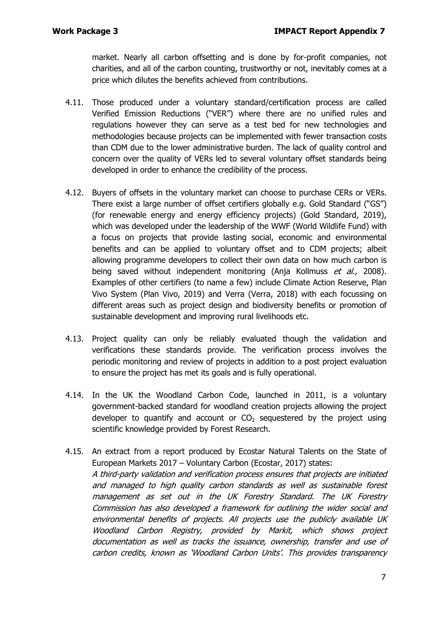market. Nearly all carbon offsetting and is done by for-profit companies, not charities, and all of the carbon counting, trustworthy or not, inevitably comes at a price which dilutes the benefits achieved from contributions.

- 4.11. Those produced under a voluntary standard/certification process are called Verified Emission Reductions ("VER") where there are no unified rules and regulations however they can serve as a test bed for new technologies and methodologies because projects can be implemented with fewer transaction costs than CDM due to the lower administrative burden. The lack of quality control and concern over the quality of VERs led to several voluntary offset standards being developed in order to enhance the credibility of the process.
- 4.12. Buyers of offsets in the voluntary market can choose to purchase CERs or VERs. There exist a large number of offset certifiers globally e.g. Gold Standard ("GS") (for renewable energy and energy efficiency projects) (Gold Standard, 2019), which was developed under the leadership of the WWF (World Wildlife Fund) with a focus on projects that provide lasting social, economic and environmental benefits and can be applied to voluntary offset and to CDM projects; albeit allowing programme developers to collect their own data on how much carbon is being saved without independent monitoring (Anja Kollmuss et al., 2008). Examples of other certifiers (to name a few) include Climate Action Reserve, Plan Vivo System (Plan Vivo, 2019) and Verra (Verra, 2018) with each focussing on different areas such as project design and biodiversity benefits or promotion of sustainable development and improving rural livelihoods etc.
- 4.13. Project quality can only be reliably evaluated though the validation and verifications these standards provide. The verification process involves the periodic monitoring and review of projects in addition to a post project evaluation to ensure the project has met its goals and is fully operational.
- 4.14. In the UK the Woodland Carbon Code, launched in 2011, is a voluntary government-backed standard for woodland creation projects allowing the project developer to quantify and account or  $CO<sub>2</sub>$  sequestered by the project using scientific knowledge provided by Forest Research.
- 4.15. An extract from a report produced by Ecostar Natural Talents on the State of European Markets 2017 – Voluntary Carbon (Ecostar, 2017) states: A third-party validation and verification process ensures that projects are initiated and managed to high quality carbon standards as well as sustainable forest management as set out in the UK Forestry Standard. The UK Forestry Commission has also developed a framework for outlining the wider social and environmental benefits of projects. All projects use the publicly available UK Woodland Carbon Registry, provided by Markit, which shows project documentation as well as tracks the issuance, ownership, transfer and use of carbon credits, known as 'Woodland Carbon Units'. This provides transparency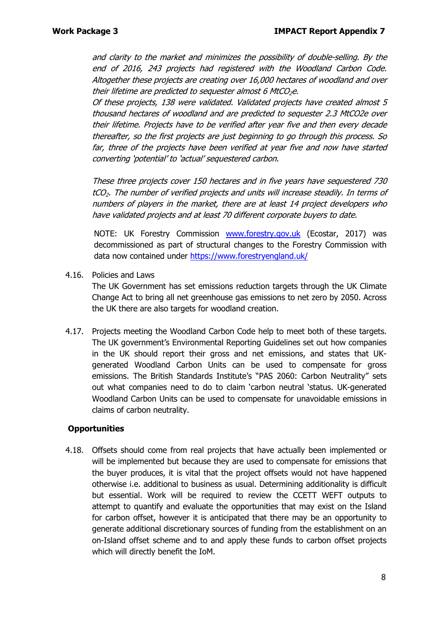and clarity to the market and minimizes the possibility of double-selling. By the end of 2016, 243 projects had registered with the Woodland Carbon Code. Altogether these projects are creating over 16,000 hectares of woodland and over their lifetime are predicted to sequester almost 6 MtCO<sub>2</sub>e.

Of these projects, 138 were validated. Validated projects have created almost 5 thousand hectares of woodland and are predicted to sequester 2.3 MtCO2e over their lifetime. Projects have to be verified after year five and then every decade thereafter, so the first projects are just beginning to go through this process. So far, three of the projects have been verified at year five and now have started converting 'potential' to 'actual' sequestered carbon.

These three projects cover 150 hectares and in five years have sequestered 730 tCO2. The number of verified projects and units will increase steadily. In terms of numbers of players in the market, there are at least 14 project developers who have validated projects and at least 70 different corporate buyers to date.

NOTE: UK Forestry Commission [www.forestry.gov.uk](http://www.forestry.gov.uk/) (Ecostar, 2017) was decommissioned as part of structural changes to the Forestry Commission with data now contained under<https://www.forestryengland.uk/>

4.16. Policies and Laws

The UK Government has set emissions reduction targets through the UK Climate Change Act to bring all net greenhouse gas emissions to net zero by 2050. Across the UK there are also targets for woodland creation.

4.17. Projects meeting the Woodland Carbon Code help to meet both of these targets. The UK government's Environmental Reporting Guidelines set out how companies in the UK should report their gross and net emissions, and states that UKgenerated Woodland Carbon Units can be used to compensate for gross emissions. The British Standards Institute's "PAS 2060: Carbon Neutrality" sets out what companies need to do to claim 'carbon neutral 'status. UK-generated Woodland Carbon Units can be used to compensate for unavoidable emissions in claims of carbon neutrality.

#### **Opportunities**

4.18. Offsets should come from real projects that have actually been implemented or will be implemented but because they are used to compensate for emissions that the buyer produces, it is vital that the project offsets would not have happened otherwise i.e. additional to business as usual. Determining additionality is difficult but essential. Work will be required to review the CCETT WEFT outputs to attempt to quantify and evaluate the opportunities that may exist on the Island for carbon offset, however it is anticipated that there may be an opportunity to generate additional discretionary sources of funding from the establishment on an on-Island offset scheme and to and apply these funds to carbon offset projects which will directly benefit the IoM.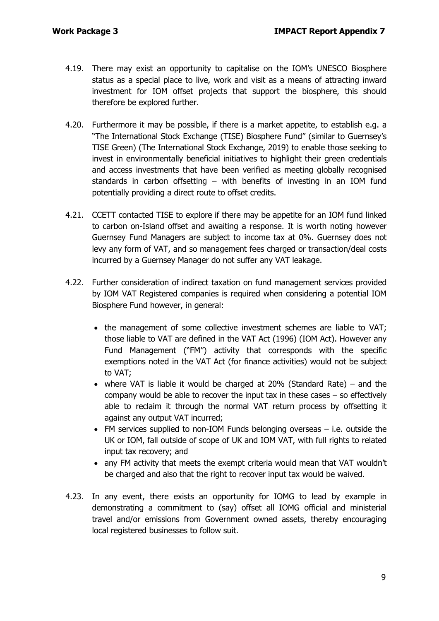- 4.19. There may exist an opportunity to capitalise on the IOM's UNESCO Biosphere status as a special place to live, work and visit as a means of attracting inward investment for IOM offset projects that support the biosphere, this should therefore be explored further.
- 4.20. Furthermore it may be possible, if there is a market appetite, to establish e.g. a "The International Stock Exchange (TISE) Biosphere Fund" (similar to Guernsey's TISE Green) (The International Stock Exchange, 2019) to enable those seeking to invest in environmentally beneficial initiatives to highlight their green credentials and access investments that have been verified as meeting globally recognised standards in carbon offsetting – with benefits of investing in an IOM fund potentially providing a direct route to offset credits.
- 4.21. CCETT contacted TISE to explore if there may be appetite for an IOM fund linked to carbon on-Island offset and awaiting a response. It is worth noting however Guernsey Fund Managers are subject to income tax at 0%. Guernsey does not levy any form of VAT, and so management fees charged or transaction/deal costs incurred by a Guernsey Manager do not suffer any VAT leakage.
- 4.22. Further consideration of indirect taxation on fund management services provided by IOM VAT Registered companies is required when considering a potential IOM Biosphere Fund however, in general:
	- the management of some collective investment schemes are liable to VAT; those liable to VAT are defined in the VAT Act (1996) (IOM Act). However any Fund Management ("FM") activity that corresponds with the specific exemptions noted in the VAT Act (for finance activities) would not be subject to VAT;
	- where VAT is liable it would be charged at 20% (Standard Rate) and the company would be able to recover the input tax in these cases – so effectively able to reclaim it through the normal VAT return process by offsetting it against any output VAT incurred;
	- FM services supplied to non-IOM Funds belonging overseas i.e. outside the UK or IOM, fall outside of scope of UK and IOM VAT, with full rights to related input tax recovery; and
	- any FM activity that meets the exempt criteria would mean that VAT wouldn't be charged and also that the right to recover input tax would be waived.
- 4.23. In any event, there exists an opportunity for IOMG to lead by example in demonstrating a commitment to (say) offset all IOMG official and ministerial travel and/or emissions from Government owned assets, thereby encouraging local registered businesses to follow suit.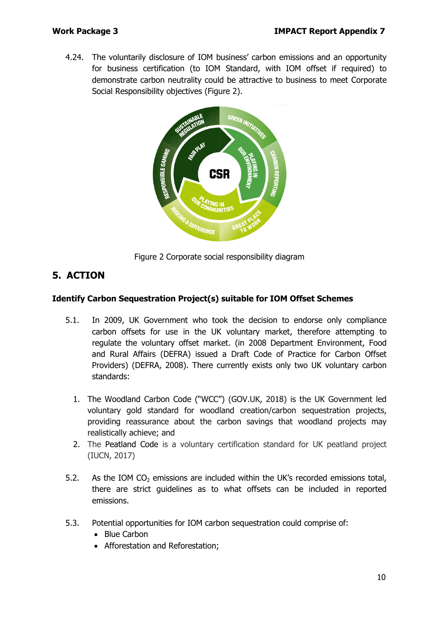4.24. The voluntarily disclosure of IOM business' carbon emissions and an opportunity for business certification (to IOM Standard, with IOM offset if required) to demonstrate carbon neutrality could be attractive to business to meet Corporate Social Responsibility objectives (Figure 2).



Figure 2 Corporate social responsibility diagram

## **5. ACTION**

#### **Identify Carbon Sequestration Project(s) suitable for IOM Offset Schemes**

- 5.1. In 2009, UK Government who took the decision to endorse only compliance carbon offsets for use in the UK voluntary market, therefore attempting to regulate the voluntary offset market. (in 2008 Department Environment, Food and Rural Affairs (DEFRA) issued a Draft Code of Practice for Carbon Offset Providers) (DEFRA, 2008). There currently exists only two UK voluntary carbon standards:
	- 1. The Woodland Carbon Code ("WCC") (GOV.UK, 2018) is the UK Government led voluntary gold standard for woodland creation/carbon sequestration projects, providing reassurance about the carbon savings that woodland projects may realistically achieve; and
	- 2. The Peatland Code is a voluntary certification standard for UK peatland project (IUCN, 2017)
- 5.2. As the IOM CO<sub>2</sub> emissions are included within the UK's recorded emissions total, there are strict guidelines as to what offsets can be included in reported emissions.
- 5.3. Potential opportunities for IOM carbon sequestration could comprise of:
	- Blue Carbon
	- Afforestation and Reforestation;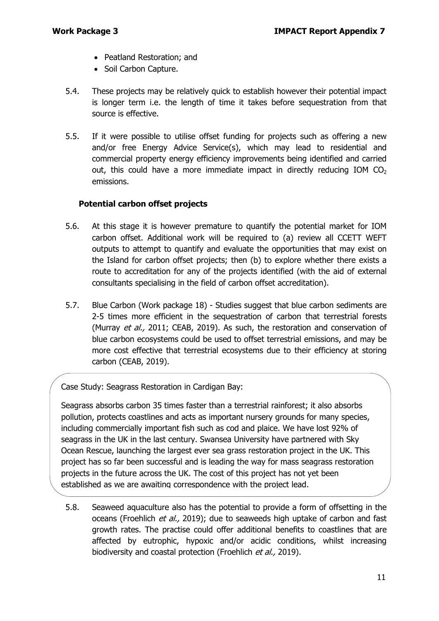- Peatland Restoration; and
- Soil Carbon Capture.
- 5.4. These projects may be relatively quick to establish however their potential impact is longer term i.e. the length of time it takes before sequestration from that source is effective.
- 5.5. If it were possible to utilise offset funding for projects such as offering a new and/or free Energy Advice Service(s), which may lead to residential and commercial property energy efficiency improvements being identified and carried out, this could have a more immediate impact in directly reducing IOM  $CO<sub>2</sub>$ emissions.

#### **Potential carbon offset projects**

- 5.6. At this stage it is however premature to quantify the potential market for IOM carbon offset. Additional work will be required to (a) review all CCETT WEFT outputs to attempt to quantify and evaluate the opportunities that may exist on the Island for carbon offset projects; then (b) to explore whether there exists a route to accreditation for any of the projects identified (with the aid of external consultants specialising in the field of carbon offset accreditation).
- 5.7. Blue Carbon (Work package 18) Studies suggest that blue carbon sediments are 2-5 times more efficient in the sequestration of carbon that terrestrial forests (Murray et al., 2011; CEAB, 2019). As such, the restoration and conservation of blue carbon ecosystems could be used to offset terrestrial emissions, and may be more cost effective that terrestrial ecosystems due to their efficiency at storing carbon (CEAB, 2019).

Case Study: Seagrass Restoration in Cardigan Bay:

Seagrass absorbs carbon 35 times faster than a terrestrial rainforest; it also absorbs pollution, protects coastlines and acts as important nursery grounds for many species, including commercially important fish such as cod and plaice. We have lost 92% of seagrass in the UK in the last century. Swansea University have partnered with Sky Ocean Rescue, launching the largest ever sea grass restoration project in the UK. This project has so far been successful and is leading the way for mass seagrass restoration projects in the future across the UK. The cost of this project has not yet been established as we are awaiting correspondence with the project lead.

5.8. Seaweed aquaculture also has the potential to provide a form of offsetting in the oceans (Froehlich et al., 2019); due to seaweeds high uptake of carbon and fast growth rates. The practise could offer additional benefits to coastlines that are affected by eutrophic, hypoxic and/or acidic conditions, whilst increasing biodiversity and coastal protection (Froehlich et al., 2019).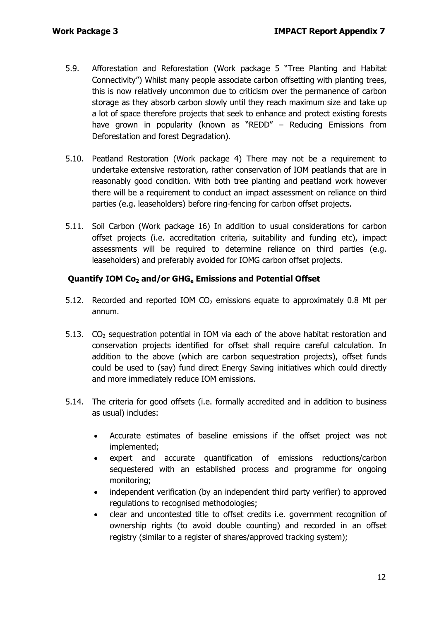- 5.9. Afforestation and Reforestation (Work package 5 "Tree Planting and Habitat Connectivity") Whilst many people associate carbon offsetting with planting trees, this is now relatively uncommon due to criticism over the permanence of carbon storage as they absorb carbon slowly until they reach maximum size and take up a lot of space therefore projects that seek to enhance and protect existing forests have grown in popularity (known as "REDD" – Reducing Emissions from Deforestation and forest Degradation).
- 5.10. Peatland Restoration (Work package 4) There may not be a requirement to undertake extensive restoration, rather conservation of IOM peatlands that are in reasonably good condition. With both tree planting and peatland work however there will be a requirement to conduct an impact assessment on reliance on third parties (e.g. leaseholders) before ring-fencing for carbon offset projects.
- 5.11. Soil Carbon (Work package 16) In addition to usual considerations for carbon offset projects (i.e. accreditation criteria, suitability and funding etc), impact assessments will be required to determine reliance on third parties (e.g. leaseholders) and preferably avoided for IOMG carbon offset projects.

#### **Quantify IOM Co<sub>2</sub> and/or GHG<sub>e</sub> Emissions and Potential Offset**

- 5.12. Recorded and reported IOM  $CO<sub>2</sub>$  emissions equate to approximately 0.8 Mt per annum.
- 5.13.  $CO<sub>2</sub>$  sequestration potential in IOM via each of the above habitat restoration and conservation projects identified for offset shall require careful calculation. In addition to the above (which are carbon sequestration projects), offset funds could be used to (say) fund direct Energy Saving initiatives which could directly and more immediately reduce IOM emissions.
- 5.14. The criteria for good offsets (i.e. formally accredited and in addition to business as usual) includes:
	- Accurate estimates of baseline emissions if the offset project was not implemented;
	- expert and accurate quantification of emissions reductions/carbon sequestered with an established process and programme for ongoing monitoring;
	- independent verification (by an independent third party verifier) to approved regulations to recognised methodologies;
	- clear and uncontested title to offset credits i.e. government recognition of ownership rights (to avoid double counting) and recorded in an offset registry (similar to a register of shares/approved tracking system);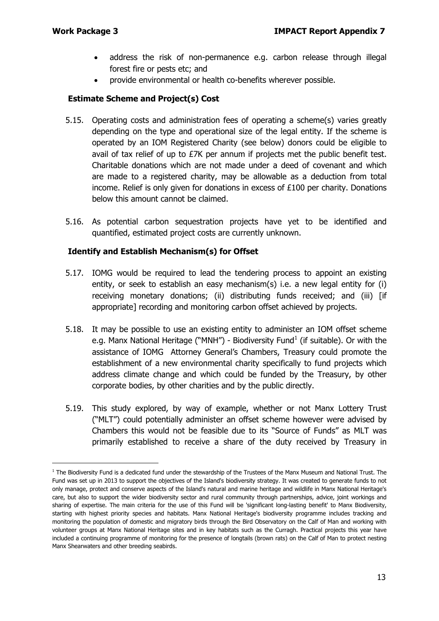- address the risk of non-permanence e.g. carbon release through illegal forest fire or pests etc; and
- provide environmental or health co-benefits wherever possible.

#### **Estimate Scheme and Project(s) Cost**

- 5.15. Operating costs and administration fees of operating a scheme(s) varies greatly depending on the type and operational size of the legal entity. If the scheme is operated by an IOM Registered Charity (see below) donors could be eligible to avail of tax relief of up to £7K per annum if projects met the public benefit test. Charitable donations which are not made under a deed of covenant and which are made to a registered charity, may be allowable as a deduction from total income. Relief is only given for donations in excess of £100 per charity. Donations below this amount cannot be claimed.
- 5.16. As potential carbon sequestration projects have yet to be identified and quantified, estimated project costs are currently unknown.

#### **Identify and Establish Mechanism(s) for Offset**

- 5.17. IOMG would be required to lead the tendering process to appoint an existing entity, or seek to establish an easy mechanism(s) i.e. a new legal entity for (i) receiving monetary donations; (ii) distributing funds received; and (iii) [if appropriate] recording and monitoring carbon offset achieved by projects.
- 5.18. It may be possible to use an existing entity to administer an IOM offset scheme e.g. Manx National Heritage ("MNH") - Biodiversity Fund<sup>[1](#page-12-0)</sup> (if suitable). Or with the assistance of IOMG Attorney General's Chambers, Treasury could promote the establishment of a new environmental charity specifically to fund projects which address climate change and which could be funded by the Treasury, by other corporate bodies, by other charities and by the public directly.
- 5.19. This study explored, by way of example, whether or not Manx Lottery Trust ("MLT") could potentially administer an offset scheme however were advised by Chambers this would not be feasible due to its "Source of Funds" as MLT was primarily established to receive a share of the duty received by Treasury in

<span id="page-12-0"></span> $1$  The Biodiversity Fund is a dedicated fund under the stewardship of the Trustees of the Manx Museum and National Trust. The Fund was set up in 2013 to support the objectives of the Island's biodiversity strategy. It was created to generate funds to not only manage, protect and conserve aspects of the Island's natural and marine heritage and wildlife in Manx National Heritage's care, but also to support the wider biodiversity sector and rural community through partnerships, advice, joint workings and sharing of expertise. The main criteria for the use of this Fund will be 'significant long-lasting benefit' to Manx Biodiversity, starting with highest priority species and habitats. Manx National Heritage's biodiversity programme includes tracking and monitoring the population of domestic and migratory birds through the Bird Observatory on the Calf of Man and working with volunteer groups at Manx National Heritage sites and in key habitats such as the Curragh. Practical projects this year have included a continuing programme of monitoring for the presence of longtails (brown rats) on the Calf of Man to protect nesting Manx Shearwaters and other breeding seabirds.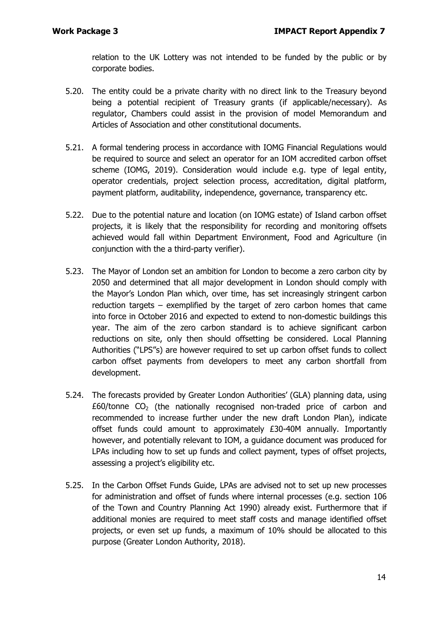relation to the UK Lottery was not intended to be funded by the public or by corporate bodies.

- 5.20. The entity could be a private charity with no direct link to the Treasury beyond being a potential recipient of Treasury grants (if applicable/necessary). As regulator, Chambers could assist in the provision of model Memorandum and Articles of Association and other constitutional documents.
- 5.21. A formal tendering process in accordance with IOMG Financial Regulations would be required to source and select an operator for an IOM accredited carbon offset scheme (IOMG, 2019). Consideration would include e.g. type of legal entity, operator credentials, project selection process, accreditation, digital platform, payment platform, auditability, independence, governance, transparency etc.
- 5.22. Due to the potential nature and location (on IOMG estate) of Island carbon offset projects, it is likely that the responsibility for recording and monitoring offsets achieved would fall within Department Environment, Food and Agriculture (in conjunction with the a third-party verifier).
- 5.23. The Mayor of London set an ambition for London to become a zero carbon city by 2050 and determined that all major development in London should comply with the Mayor's London Plan which, over time, has set increasingly stringent carbon reduction targets – exemplified by the target of zero carbon homes that came into force in October 2016 and expected to extend to non-domestic buildings this year. The aim of the zero carbon standard is to achieve significant carbon reductions on site, only then should offsetting be considered. Local Planning Authorities ("LPS"s) are however required to set up carbon offset funds to collect carbon offset payments from developers to meet any carbon shortfall from development.
- 5.24. The forecasts provided by Greater London Authorities' (GLA) planning data, using  $£60/tonne CO<sub>2</sub>$  (the nationally recognised non-traded price of carbon and recommended to increase further under the new draft London Plan), indicate offset funds could amount to approximately £30-40M annually. Importantly however, and potentially relevant to IOM, a guidance document was produced for LPAs including how to set up funds and collect payment, types of offset projects, assessing a project's eligibility etc.
- 5.25. In the Carbon Offset Funds Guide, LPAs are advised not to set up new processes for administration and offset of funds where internal processes (e.g. section 106 of the Town and Country Planning Act 1990) already exist. Furthermore that if additional monies are required to meet staff costs and manage identified offset projects, or even set up funds, a maximum of 10% should be allocated to this purpose (Greater London Authority, 2018).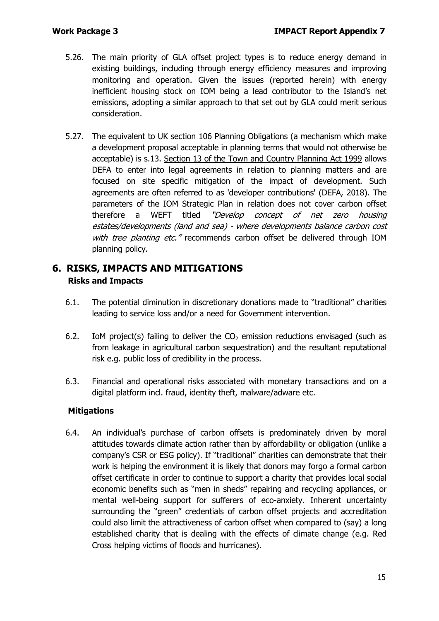- 5.26. The main priority of GLA offset project types is to reduce energy demand in existing buildings, including through energy efficiency measures and improving monitoring and operation. Given the issues (reported herein) with energy inefficient housing stock on IOM being a lead contributor to the Island's net emissions, adopting a similar approach to that set out by GLA could merit serious consideration.
- 5.27. The equivalent to UK section 106 Planning Obligations (a mechanism which make a development proposal acceptable in planning terms that would not otherwise be acceptable) is s.13. [Section 13 of the Town and Country Planning Act 1999](https://www.gov.im/media/1363431/s-13-operational-policy-final-version.pdf) allows DEFA to enter into legal agreements in relation to planning matters and are focused on site specific mitigation of the impact of development. Such agreements are often referred to as 'developer contributions' (DEFA, 2018). The parameters of the IOM Strategic Plan in relation does not cover carbon offset therefore a WEFT titled "Develop concept of net zero housing estates/developments (land and sea) - where developments balance carbon cost with tree planting etc." recommends carbon offset be delivered through IOM planning policy.

## **6. RISKS, IMPACTS AND MITIGATIONS Risks and Impacts**

- 6.1. The potential diminution in discretionary donations made to "traditional" charities leading to service loss and/or a need for Government intervention.
- 6.2. IoM project(s) failing to deliver the  $CO<sub>2</sub>$  emission reductions envisaged (such as from leakage in agricultural carbon sequestration) and the resultant reputational risk e.g. public loss of credibility in the process.
- 6.3. Financial and operational risks associated with monetary transactions and on a digital platform incl. fraud, identity theft, malware/adware etc.

#### **Mitigations**

6.4. An individual's purchase of carbon offsets is predominately driven by moral attitudes towards climate action rather than by affordability or obligation (unlike a company's CSR or ESG policy). If "traditional" charities can demonstrate that their work is helping the environment it is likely that donors may forgo a formal carbon offset certificate in order to continue to support a charity that provides local social economic benefits such as "men in sheds" repairing and recycling appliances, or mental well-being support for sufferers of eco-anxiety. Inherent uncertainty surrounding the "green" credentials of carbon offset projects and accreditation could also limit the attractiveness of carbon offset when compared to (say) a long established charity that is dealing with the effects of climate change (e.g. Red Cross helping victims of floods and hurricanes).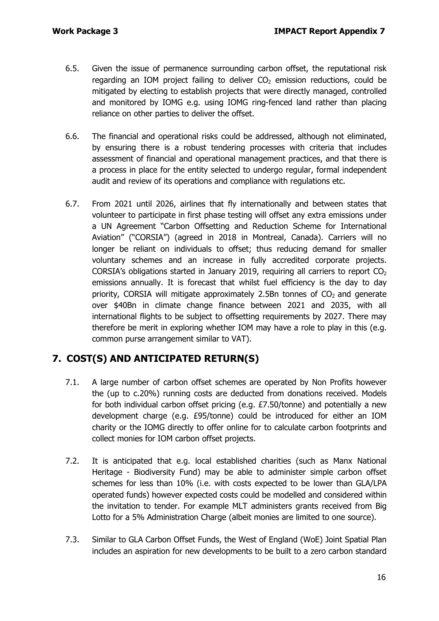- 6.5. Given the issue of permanence surrounding carbon offset, the reputational risk regarding an IOM project failing to deliver  $CO<sub>2</sub>$  emission reductions, could be mitigated by electing to establish projects that were directly managed, controlled and monitored by IOMG e.g. using IOMG ring-fenced land rather than placing reliance on other parties to deliver the offset.
- 6.6. The financial and operational risks could be addressed, although not eliminated, by ensuring there is a robust tendering processes with criteria that includes assessment of financial and operational management practices, and that there is a process in place for the entity selected to undergo regular, formal independent audit and review of its operations and compliance with regulations etc.
- 6.7. From 2021 until 2026, airlines that fly internationally and between states that volunteer to participate in first phase testing will offset any extra emissions under a UN Agreement "Carbon Offsetting and Reduction Scheme for International Aviation" ("CORSIA") (agreed in 2018 in Montreal, Canada). Carriers will no longer be reliant on individuals to offset; thus reducing demand for smaller voluntary schemes and an increase in fully accredited corporate projects. CORSIA's obligations started in January 2019, requiring all carriers to report  $CO<sub>2</sub>$ emissions annually. It is forecast that whilst fuel efficiency is the day to day priority, CORSIA will mitigate approximately 2.5Bn tonnes of  $CO<sub>2</sub>$  and generate over \$40Bn in climate change finance between 2021 and 2035, with all international flights to be subject to offsetting requirements by 2027. There may therefore be merit in exploring whether IOM may have a role to play in this (e.g. common purse arrangement similar to VAT).

## **7. COST(S) AND ANTICIPATED RETURN(S)**

- 7.1. A large number of carbon offset schemes are operated by Non Profits however the (up to c.20%) running costs are deducted from donations received. Models for both individual carbon offset pricing (e.g. £7.50/tonne) and potentially a new development charge (e.g. £95/tonne) could be introduced for either an IOM charity or the IOMG directly to offer online for to calculate carbon footprints and collect monies for IOM carbon offset projects.
- 7.2. It is anticipated that e.g. local established charities (such as Manx National Heritage - Biodiversity Fund) may be able to administer simple carbon offset schemes for less than 10% (i.e. with costs expected to be lower than GLA/LPA operated funds) however expected costs could be modelled and considered within the invitation to tender. For example MLT administers grants received from Big Lotto for a 5% Administration Charge (albeit monies are limited to one source).
- 7.3. Similar to GLA Carbon Offset Funds, the West of England (WoE) Joint Spatial Plan includes an aspiration for new developments to be built to a zero carbon standard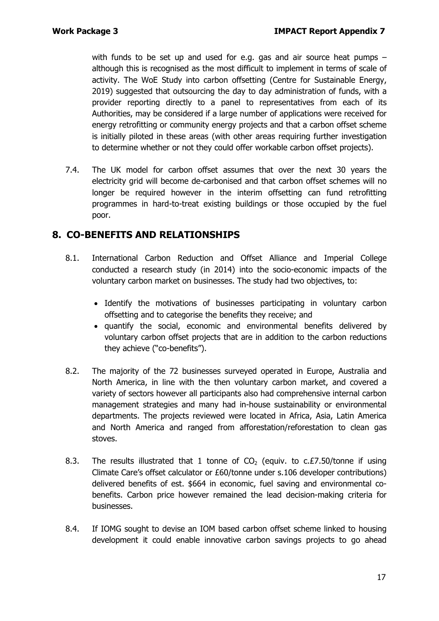with funds to be set up and used for e.g. gas and air source heat pumps – although this is recognised as the most difficult to implement in terms of scale of activity. The WoE Study into carbon offsetting (Centre for Sustainable Energy, 2019) suggested that outsourcing the day to day administration of funds, with a provider reporting directly to a panel to representatives from each of its Authorities, may be considered if a large number of applications were received for energy retrofitting or community energy projects and that a carbon offset scheme is initially piloted in these areas (with other areas requiring further investigation to determine whether or not they could offer workable carbon offset projects).

7.4. The UK model for carbon offset assumes that over the next 30 years the electricity grid will become de-carbonised and that carbon offset schemes will no longer be required however in the interim offsetting can fund retrofitting programmes in hard-to-treat existing buildings or those occupied by the fuel poor.

## **8. CO-BENEFITS AND RELATIONSHIPS**

- 8.1. International Carbon Reduction and Offset Alliance and Imperial College conducted a [research study](https://www.icroa.org/resources/Documents/ICRO2895%20ICROA%20online%20pdf_G.pdf) (in 2014) into the socio-economic impacts of the voluntary carbon market on businesses. The study had two objectives, to:
	- Identify the motivations of businesses participating in voluntary carbon offsetting and to categorise the benefits they receive; and
	- quantify the social, economic and environmental benefits delivered by voluntary carbon offset projects that are in addition to the carbon reductions they achieve ("co-benefits").
- 8.2. The majority of the 72 businesses surveyed operated in Europe, Australia and North America, in line with the then voluntary carbon market, and covered a variety of sectors however all participants also had comprehensive internal carbon management strategies and many had in-house sustainability or environmental departments. The projects reviewed were located in Africa, Asia, Latin America and North America and ranged from afforestation/reforestation to clean gas stoves.
- 8.3. The results illustrated that 1 tonne of  $CO<sub>2</sub>$  (equiv. to c.£7.50/tonne if using Climate Care's offset calculator or £60/tonne under s.106 developer contributions) delivered benefits of est. \$664 in economic, fuel saving and environmental cobenefits. Carbon price however remained the lead decision-making criteria for businesses.
- 8.4. If IOMG sought to devise an IOM based carbon offset scheme linked to housing development it could enable innovative carbon savings projects to go ahead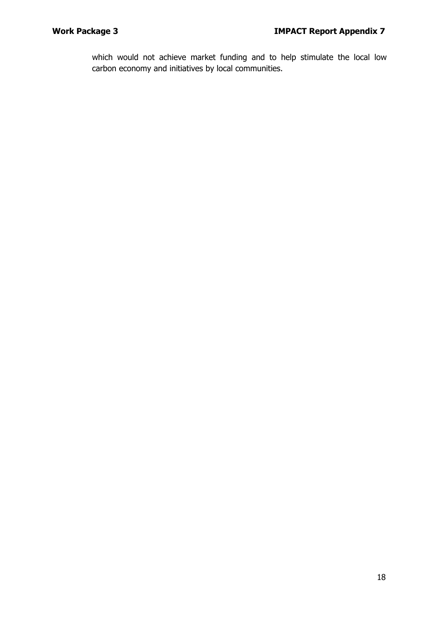which would not achieve market funding and to help stimulate the local low carbon economy and initiatives by local communities.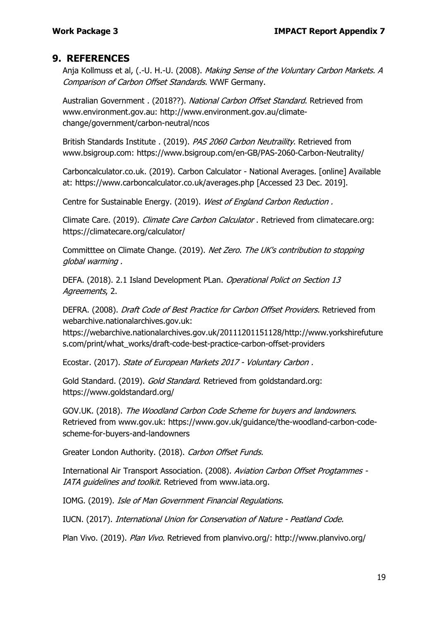### **9. REFERENCES**

Anja Kollmuss et al, (.-U. H.-U. (2008). *Making Sense of the Voluntary Carbon Markets. A* Comparison of Carbon Offset Standards. WWF Germany.

Australian Government . (2018??). National Carbon Offset Standard. Retrieved from www.environment.gov.au: http://www.environment.gov.au/climatechange/government/carbon-neutral/ncos

British Standards Institute . (2019). PAS 2060 Carbon Neutraility. Retrieved from www.bsigroup.com: https://www.bsigroup.com/en-GB/PAS-2060-Carbon-Neutrality/

Carboncalculator.co.uk. (2019). Carbon Calculator - National Averages. [online] Available at: https://www.carboncalculator.co.uk/averages.php [Accessed 23 Dec. 2019].

Centre for Sustainable Energy. (2019). West of England Carbon Reduction .

Climate Care. (2019). Climate Care Carbon Calculator . Retrieved from climatecare.org: https://climatecare.org/calculator/

Committtee on Climate Change. (2019). Net Zero. The UK's contribution to stopping global warming .

DEFA. (2018). 2.1 Island Development PLan. Operational Polict on Section 13 Agreements, 2.

DEFRA. (2008). Draft Code of Best Practice for Carbon Offset Providers. Retrieved from webarchive.nationalarchives.gov.uk:

https://webarchive.nationalarchives.gov.uk/20111201151128/http://www.yorkshirefuture s.com/print/what\_works/draft-code-best-practice-carbon-offset-providers

Ecostar. (2017). State of European Markets 2017 - Voluntary Carbon .

Gold Standard. (2019). Gold Standard. Retrieved from goldstandard.org: https://www.goldstandard.org/

GOV.UK. (2018). The Woodland Carbon Code Scheme for buyers and landowners. Retrieved from www.gov.uk: https://www.gov.uk/guidance/the-woodland-carbon-codescheme-for-buyers-and-landowners

Greater London Authority. (2018). Carbon Offset Funds.

International Air Transport Association. (2008). Aviation Carbon Offset Progtammes - IATA quidelines and toolkit. Retrieved from www.iata.org.

IOMG. (2019). Isle of Man Government Financial Regulations.

IUCN. (2017). International Union for Conservation of Nature - Peatland Code.

Plan Vivo. (2019). Plan Vivo. Retrieved from planvivo.org/: http://www.planvivo.org/